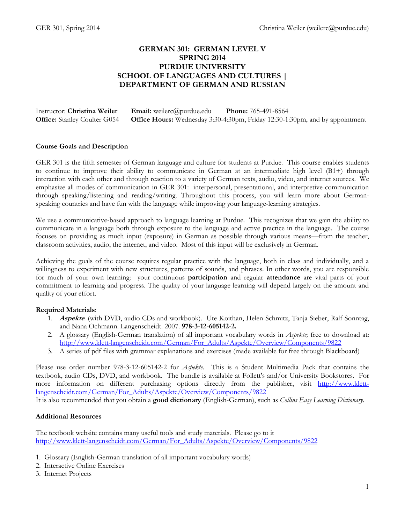## **GERMAN 301: GERMAN LEVEL V SPRING 2014 PURDUE UNIVERSITY SCHOOL OF LANGUAGES AND CULTURES | DEPARTMENT OF GERMAN AND RUSSIAN**

| Instructor: Christina Weiler        | <b>Email:</b> weilerc@purdue.edu | <b>Phone:</b> 765-491-8564                                                          |
|-------------------------------------|----------------------------------|-------------------------------------------------------------------------------------|
| <b>Office:</b> Stanley Coulter G054 |                                  | <b>Office Hours:</b> Wednesday 3:30-4:30pm, Friday 12:30-1:30pm, and by appointment |

#### **Course Goals and Description**

GER 301 is the fifth semester of German language and culture for students at Purdue. This course enables students to continue to improve their ability to communicate in German at an intermediate high level (B1+) through interaction with each other and through reaction to a variety of German texts, audio, video, and internet sources. We emphasize all modes of communication in GER 301: interpersonal, presentational, and interpretive communication through speaking/listening and reading/writing. Throughout this process, you will learn more about Germanspeaking countries and have fun with the language while improving your language-learning strategies.

We use a communicative-based approach to language learning at Purdue. This recognizes that we gain the ability to communicate in a language both through exposure to the language and active practice in the language. The course focuses on providing as much input (exposure) in German as possible through various means—from the teacher, classroom activities, audio, the internet, and video. Most of this input will be exclusively in German.

Achieving the goals of the course requires regular practice with the language, both in class and individually, and a willingness to experiment with new structures, patterns of sounds, and phrases. In other words, you are responsible for much of your own learning: your continuous **participation** and regular **attendance** are vital parts of your commitment to learning and progress. The quality of your language learning will depend largely on the amount and quality of your effort.

#### **Required Materials**:

- 1. **Aspekte***.* (with DVD, audio CDs and workbook). Ute Koithan, Helen Schmitz, Tanja Sieber, Ralf Sonntag, and Nana Ochmann. Langenscheidt. 2007. **978-3-12-605142-2.**
- 2. A glossary (English-German translation) of all important vocabulary words in *Aspekte;* free to download at: [http://www.klett-langenscheidt.com/German/For\\_Adults/Aspekte/Overview/Components/9822](http://www.klett-langenscheidt.com/German/For_Adults/Aspekte/Overview/Components/9822)
- 3. A series of pdf files with grammar explanations and exercises (made available for free through Blackboard)

Please use order number 978-3-12-605142-2 for *Aspekte*.This is a Student Multimedia Pack that contains the textbook, audio CDs, DVD, and workbook. The bundle is available at Follett's and/or University Bookstores. For more information on different purchasing options directly from the publisher, visit [http://www.klett](http://www.klett-langenscheidt.com/German/For_Adults/Aspekte/Overview/Components/9822)[langenscheidt.com/German/For\\_Adults/Aspekte/Overview/Components/9822](http://www.klett-langenscheidt.com/German/For_Adults/Aspekte/Overview/Components/9822)

It is also recommended that you obtain a **good dictionary** (English-German), such as *Collins Easy Learning Dictionary.* 

#### **Additional Resources**

The textbook website contains many useful tools and study materials. Please go to it [http://www.klett-langenscheidt.com/German/For\\_Adults/Aspekte/Overview/Components/9822](http://www.klett-langenscheidt.com/German/For_Adults/Aspekte/Overview/Components/9822)

- 1. Glossary (English-German translation of all important vocabulary words)
- 2. Interactive Online Exercises
- 3. Internet Projects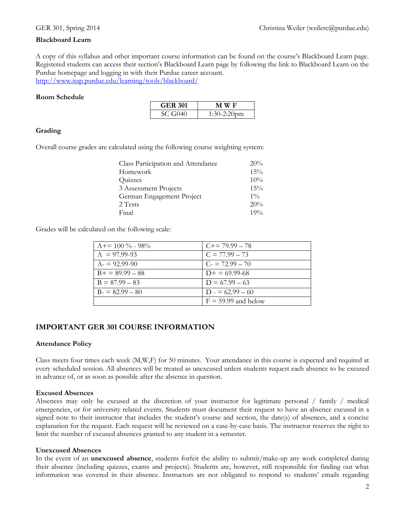#### **Blackboard Learn**

A copy of this syllabus and other important course information can be found on the course's Blackboard Learn page. Registered students can access their section's Blackboard Learn page by following the link to Blackboard Learn on the Purdue homepage and logging in with their Purdue career account. <http://www.itap.purdue.edu/learning/tools/blackboard/>

#### **Room Schedule**

| <b>GER 301</b> | M W F          |  |  |
|----------------|----------------|--|--|
| SC G040        | $1:30-2:20$ pm |  |  |

#### **Grading**

Overall course grades are calculated using the following course weighting system:

| 20%   |
|-------|
| 15%   |
| 10%   |
| 15%   |
| $1\%$ |
| 20%   |
| 19%   |
|       |

Grades will be calculated on the following scale:

| $A+=100\% - 98\%$ | $C+= 79.99 - 78$      |
|-------------------|-----------------------|
| $A = 97.99-93$    | $C = 77.99 - 73$      |
| $A = 92.99 - 90$  | $C_1 = 72.99 - 70$    |
| $B+ = 89.99 - 88$ | $D+ = 69.99-68$       |
| $B = 87.99 - 83$  | $D = 67.99 - 63$      |
| $B = 82.99 - 80$  | $D = 62.99 - 60$      |
|                   | $F = 59.99$ and below |

### **IMPORTANT GER 301 COURSE INFORMATION**

#### **Attendance Policy**

Class meets four times each week (M,W,F) for 50 minutes. Your attendance in this course is expected and required at every scheduled session. All absences will be treated as unexcused unless students request each absence to be excused in advance of, or as soon as possible after the absence in question.

#### **Excused Absences**

Absences may only be excused at the discretion of your instructor for legitimate personal / family / medical emergencies, or for university related events. Students must document their request to have an absence excused in a signed note to their instructor that includes the student's course and section, the date(s) of absences, and a concise explanation for the request. Each request will be reviewed on a case-by-case basis. The instructor reserves the right to limit the number of excused absences granted to any student in a semester.

#### **Unexcused Absences**

In the event of an **unexcused absence**, students forfeit the ability to submit/make-up any work completed during their absence (including quizzes, exams and projects). Students are, however, still responsible for finding out what information was covered in their absence. Instructors are not obligated to respond to students' emails regarding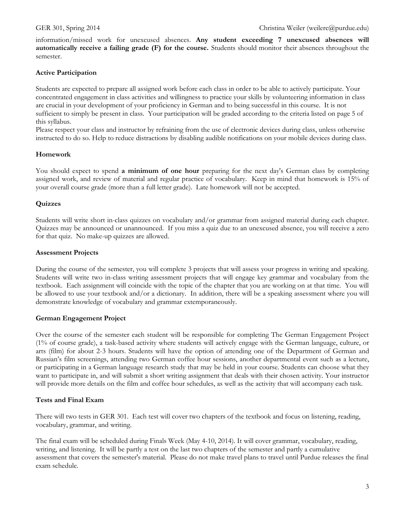information/missed work for unexcused absences. **Any student exceeding 7 unexcused absences will automatically receive a failing grade (F) for the course.** Students should monitor their absences throughout the semester.

## **Active Participation**

Students are expected to prepare all assigned work before each class in order to be able to actively participate. Your concentrated engagement in class activities and willingness to practice your skills by volunteering information in class are crucial in your development of your proficiency in German and to being successful in this course. It is not sufficient to simply be present in class. Your participation will be graded according to the criteria listed on page 5 of this syllabus.

Please respect your class and instructor by refraining from the use of electronic devices during class, unless otherwise instructed to do so. Help to reduce distractions by disabling audible notifications on your mobile devices during class.

### **Homework**

You should expect to spend **a minimum of one hour** preparing for the next day's German class by completing assigned work, and review of material and regular practice of vocabulary. Keep in mind that homework is 15% of your overall course grade (more than a full letter grade). Late homework will not be accepted.

#### **Quizzes**

Students will write short in-class quizzes on vocabulary and/or grammar from assigned material during each chapter. Quizzes may be announced or unannounced. If you miss a quiz due to an unexcused absence, you will receive a zero for that quiz. No make-up quizzes are allowed.

#### **Assessment Projects**

During the course of the semester, you will complete 3 projects that will assess your progress in writing and speaking. Students will write two in-class writing assessment projects that will engage key grammar and vocabulary from the textbook. Each assignment will coincide with the topic of the chapter that you are working on at that time. You will be allowed to use your textbook and/or a dictionary. In addition, there will be a speaking assessment where you will demonstrate knowledge of vocabulary and grammar extemporaneously.

### **German Engagement Project**

Over the course of the semester each student will be responsible for completing The German Engagement Project (1% of course grade), a task-based activity where students will actively engage with the German language, culture, or arts (film) for about 2-3 hours. Students will have the option of attending one of the Department of German and Russian's film screenings, attending two German coffee hour sessions, another departmental event such as a lecture, or participating in a German language research study that may be held in your course. Students can choose what they want to participate in, and will submit a short writing assignment that deals with their chosen activity. Your instructor will provide more details on the film and coffee hour schedules, as well as the activity that will accompany each task.

### **Tests and Final Exam**

There will two tests in GER 301. Each test will cover two chapters of the textbook and focus on listening, reading, vocabulary, grammar, and writing.

The final exam will be scheduled during Finals Week (May 4-10, 2014). It will cover grammar, vocabulary, reading, writing, and listening. It will be partly a test on the last two chapters of the semester and partly a cumulative assessment that covers the semester's material. Please do not make travel plans to travel until Purdue releases the final exam schedule.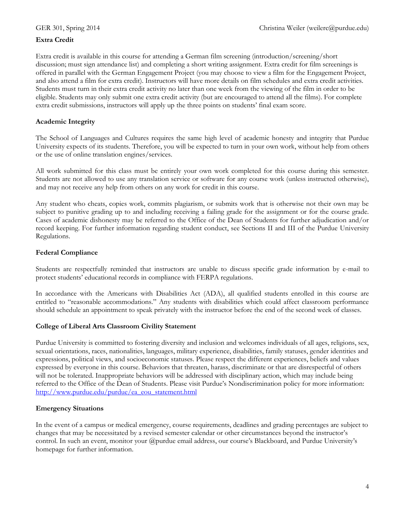## **Extra Credit**

Extra credit is available in this course for attending a German film screening (introduction/screening/short discussion; must sign attendance list) and completing a short writing assignment. Extra credit for film screenings is offered in parallel with the German Engagement Project (you may choose to view a film for the Engagement Project, and also attend a film for extra credit). Instructors will have more details on film schedules and extra credit activities. Students must turn in their extra credit activity no later than one week from the viewing of the film in order to be eligible. Students may only submit one extra credit activity (but are encouraged to attend all the films). For complete extra credit submissions, instructors will apply up the three points on students' final exam score.

#### **Academic Integrity**

The School of Languages and Cultures requires the same high level of academic honesty and integrity that Purdue University expects of its students. Therefore, you will be expected to turn in your own work, without help from others or the use of online translation engines/services.

All work submitted for this class must be entirely your own work completed for this course during this semester. Students are not allowed to use any translation service or software for any course work (unless instructed otherwise), and may not receive any help from others on any work for credit in this course.

Any student who cheats, copies work, commits plagiarism, or submits work that is otherwise not their own may be subject to punitive grading up to and including receiving a failing grade for the assignment or for the course grade. Cases of academic dishonesty may be referred to the Office of the Dean of Students for further adjudication and/or record keeping. For further information regarding student conduct, see Sections II and III of the Purdue University Regulations.

#### **Federal Compliance**

Students are respectfully reminded that instructors are unable to discuss specific grade information by e-mail to protect students' educational records in compliance with FERPA regulations.

In accordance with the Americans with Disabilities Act (ADA), all qualified students enrolled in this course are entitled to "reasonable accommodations." Any students with disabilities which could affect classroom performance should schedule an appointment to speak privately with the instructor before the end of the second week of classes.

#### **College of Liberal Arts Classroom Civility Statement**

Purdue University is committed to fostering diversity and inclusion and welcomes individuals of all ages, religions, sex, sexual orientations, races, nationalities, languages, military experience, disabilities, family statuses, gender identities and expressions, political views, and socioeconomic statuses. Please respect the different experiences, beliefs and values expressed by everyone in this course. Behaviors that threaten, harass, discriminate or that are disrespectful of others will not be tolerated. Inappropriate behaviors will be addressed with disciplinary action, which may include being referred to the Office of the Dean of Students. Please visit Purdue's Nondiscrimination policy for more information: [http://www.purdue.edu/purdue/ea\\_eou\\_statement.html](http://www.purdue.edu/purdue/ea_eou_statement.html)

#### **Emergency Situations**

In the event of a campus or medical emergency, course requirements, deadlines and grading percentages are subject to changes that may be necessitated by a revised semester calendar or other circumstances beyond the instructor's control. In such an event, monitor your @purdue email address, our course's Blackboard, and Purdue University's homepage for further information.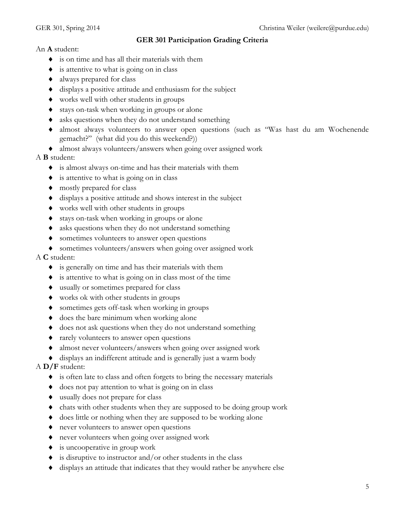## **GER 301 Participation Grading Criteria**

An **A** student:

- is on time and has all their materials with them
- $\bullet$  is attentive to what is going on in class
- always prepared for class
- displays a positive attitude and enthusiasm for the subject
- works well with other students in groups
- stays on-task when working in groups or alone
- asks questions when they do not understand something
- almost always volunteers to answer open questions (such as "Was hast du am Wochenende gemacht?" (what did you do this weekend?))
- almost always volunteers/answers when going over assigned work

## A **B** student:

- is almost always on-time and has their materials with them
- is attentive to what is going on in class
- $\bullet$  mostly prepared for class
- displays a positive attitude and shows interest in the subject
- works well with other students in groups
- stays on-task when working in groups or alone
- asks questions when they do not understand something
- sometimes volunteers to answer open questions
- sometimes volunteers/answers when going over assigned work

## A **C** student:

- is generally on time and has their materials with them
- is attentive to what is going on in class most of the time
- usually or sometimes prepared for class
- works ok with other students in groups
- sometimes gets off-task when working in groups
- $\bullet$  does the bare minimum when working alone
- does not ask questions when they do not understand something
- rarely volunteers to answer open questions
- almost never volunteers/answers when going over assigned work
- displays an indifferent attitude and is generally just a warm body

## A **D/F** student:

- is often late to class and often forgets to bring the necessary materials
- does not pay attention to what is going on in class
- usually does not prepare for class
- chats with other students when they are supposed to be doing group work
- does little or nothing when they are supposed to be working alone
- never volunteers to answer open questions
- never volunteers when going over assigned work
- is uncooperative in group work
- is disruptive to instructor and/or other students in the class
- displays an attitude that indicates that they would rather be anywhere else